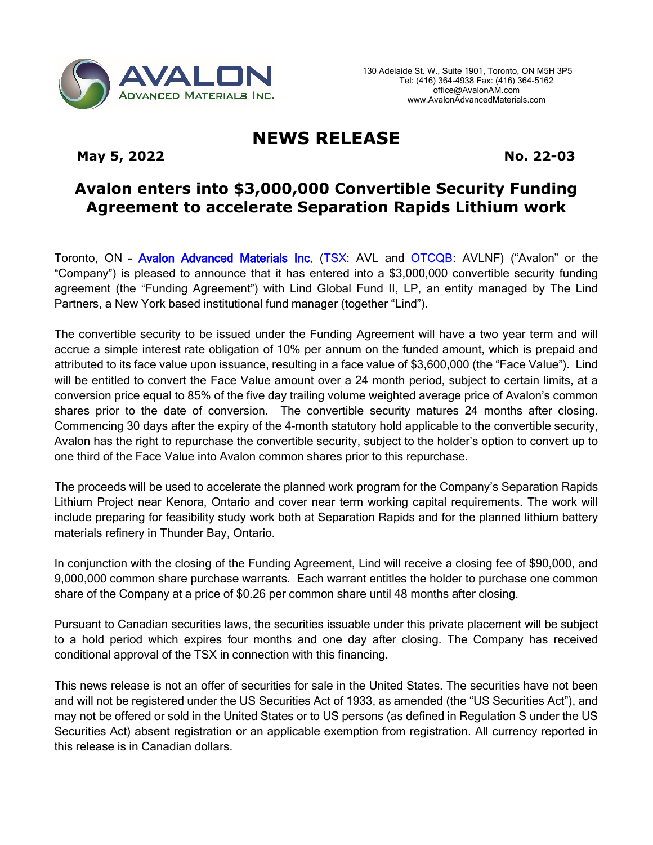

## **NEWS RELEASE**

May 5, 2022 **No. 22-03** 

## **Avalon enters into \$3,000,000 Convertible Security Funding Agreement to accelerate Separation Rapids Lithium work**

Toronto, ON - [Avalon Advanced Materials Inc.](http://www.avalonadvancedmaterials.com/) [\(TSX:](http://tmx.quotemedia.com/quote.php?qm_symbol=avl) AVL and [OTCQB:](http://www.otcmarkets.com/stock/AVLNF/quote) AVLNF) ("Avalon" or the "Company") is pleased to announce that it has entered into a \$3,000,000 convertible security funding agreement (the "Funding Agreement") with Lind Global Fund II, LP, an entity managed by The Lind Partners, a New York based institutional fund manager (together "Lind").

The convertible security to be issued under the Funding Agreement will have a two year term and will accrue a simple interest rate obligation of 10% per annum on the funded amount, which is prepaid and attributed to its face value upon issuance, resulting in a face value of \$3,600,000 (the "Face Value"). Lind will be entitled to convert the Face Value amount over a 24 month period, subject to certain limits, at a conversion price equal to 85% of the five day trailing volume weighted average price of Avalon's common shares prior to the date of conversion. The convertible security matures 24 months after closing. Commencing 30 days after the expiry of the 4-month statutory hold applicable to the convertible security, Avalon has the right to repurchase the convertible security, subject to the holder's option to convert up to one third of the Face Value into Avalon common shares prior to this repurchase.

The proceeds will be used to accelerate the planned work program for the Company's Separation Rapids Lithium Project near Kenora, Ontario and cover near term working capital requirements. The work will include preparing for feasibility study work both at Separation Rapids and for the planned lithium battery materials refinery in Thunder Bay, Ontario.

In conjunction with the closing of the Funding Agreement, Lind will receive a closing fee of \$90,000, and 9,000,000 common share purchase warrants. Each warrant entitles the holder to purchase one common share of the Company at a price of \$0.26 per common share until 48 months after closing.

Pursuant to Canadian securities laws, the securities issuable under this private placement will be subject to a hold period which expires four months and one day after closing. The Company has received conditional approval of the TSX in connection with this financing.

This news release is not an offer of securities for sale in the United States. The securities have not been and will not be registered under the US Securities Act of 1933, as amended (the "US Securities Act"), and may not be offered or sold in the United States or to US persons (as defined in Regulation S under the US Securities Act) absent registration or an applicable exemption from registration. All currency reported in this release is in Canadian dollars.